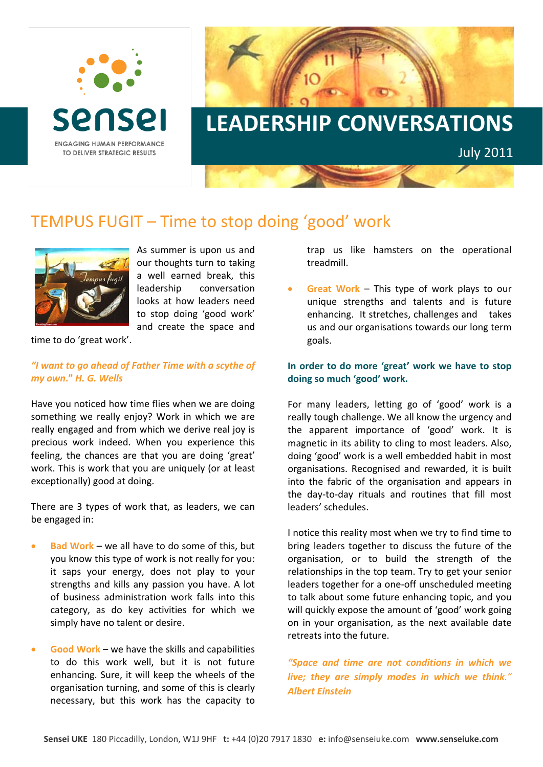



# TEMPUS FUGIT – Time to stop doing 'good' work



As summer is upon us and our thoughts turn to taking a well earned break, this leadership conversation looks at how leaders need to stop doing 'good work' and create the space and

time to do 'great work'.

#### *"I want to go ahead of Father Time with a scythe of my own***."** *H. G. Wells*

Have you noticed how time flies when we are doing something we really enjoy? Work in which we are really engaged and from which we derive real joy is precious work indeed. When you experience this feeling, the chances are that you are doing 'great' work. This is work that you are uniquely (or at least exceptionally) good at doing.

There are 3 types of work that, as leaders, we can be engaged in:

- • **Bad Work** we all have to do some of this, but you know this type of work is not really for you: it saps your energy, does not play to your strengths and kills any passion you have. A lot of business administration work falls into this category, as do key activities for which we simply have no talent or desire.
- • **Good Work** we have the skills and capabilities to do this work well, but it is not future enhancing. Sure, it will keep the wheels of the organisation turning, and some of this is clearly necessary, but this work has the capacity to

trap us like hamsters on the operational treadmill.

• **Great Work** – This type of work plays to our unique strengths and talents and is future enhancing. It stretches, challenges and takes us and our organisations towards our long term goals.

## **In order to do more 'great' work we have to stop doing so much 'good' work.**

For many leaders, letting go of 'good' work is a really tough challenge. We all know the urgency and the apparent importance of 'good' work. It is magnetic in its ability to cling to most leaders. Also, doing 'good' work is a well embedded habit in most organisations. Recognised and rewarded, it is built into the fabric of the organisation and appears in the day‐to‐day rituals and routines that fill most leaders' schedules.

I notice this reality most when we try to find time to bring leaders together to discuss the future of the organisation, or to build the strength of the relationships in the top team. Try to get your senior leaders together for a one‐off unscheduled meeting to talk about some future enhancing topic, and you will quickly expose the amount of 'good' work going on in your organisation, as the next available date retreats into the future.

*"Space and time are not conditions in which we live; they are simply modes in which we think." Albert Einstein*